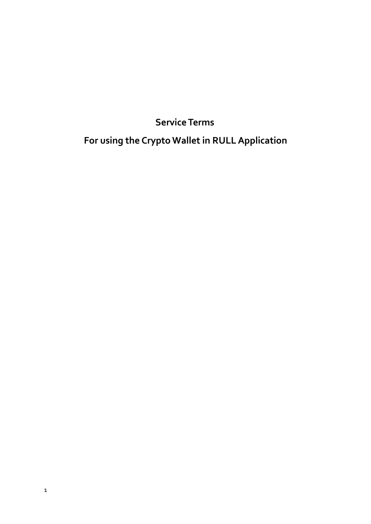# **ServiceTerms**

# **For using the Crypto Wallet in RULLApplication**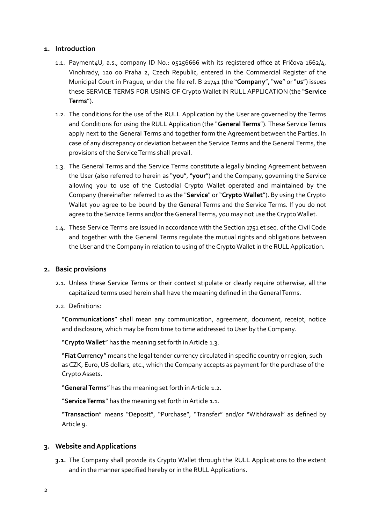#### **1. Introduction**

- 1.1. Payment4U, a.s., company ID No.: 05256666 with its registered office at Fričova 1662/4, Vinohrady, 120 00 Praha 2, Czech Republic, entered in the Commercial Register of the Municipal Court in Prague, under the file ref. B 21741 (the "**Company**", "**we**" or "**us**") issues these SERVICE TERMS FOR USING OF Crypto Wallet IN RULL APPLICATION (the "**Service Terms**").
- 1.2. The conditions for the use of the RULL Application by the User are governed by the Terms and Conditions for using the RULL Application (the "**General Terms**"). These Service Terms apply next to the General Terms and together form the Agreement between the Parties. In case of any discrepancy or deviation between the Service Terms and the General Terms, the provisions of the Service Terms shall prevail.
- 1.3. The General Terms and the Service Terms constitute a legally binding Agreement between the User (also referred to herein as "**you**", "**your**") and the Company, governing the Service allowing you to use of the Custodial Crypto Wallet operated and maintained by the Company (hereinafter referred to as the "**Service**" or "**Crypto Wallet**"). By using the Crypto Wallet you agree to be bound by the General Terms and the Service Terms. If you do not agree to the Service Terms and/or the General Terms, you may not use the Crypto Wallet.
- 1.4. These Service Terms are issued in accordance with the Section 1751 et seq. of the Civil Code and together with the General Terms regulate the mutual rights and obligations between the User and the Company in relation to using of the Crypto Wallet in the RULL Application.

# **2. Basic provisions**

- 2.1. Unless these Service Terms or their context stipulate or clearly require otherwise, all the capitalized terms used herein shall have the meaning defined in theGeneralTerms.
- 2.2. Definitions:

"**Communications**" shall mean any communication, agreement, document, receipt, notice and disclosure, which may be from time to time addressed to User by the Company.

"Crypto Wallet" has the meaning set forth in Article 1.3.

"**Fiat Currency**" means the legal tender currency circulated in specific country or region, such as CZK, Euro, US dollars, etc., which the Company accepts as payment for the purchase of the Crypto Assets.

"**GeneralTerms**" has the meaning set forth inArticle 1.2.

"Service Terms" has the meaning set forth in Article 1.1.

"**Transaction**" means "Deposit", "Purchase", "Transfer" and/or "Withdrawal" as defined by Article 9.

# **3. Website and Applications**

**3.1.** The Company shall provide its Crypto Wallet through the RULL Applications to the extent and in the manner specified hereby or in the RULL Applications.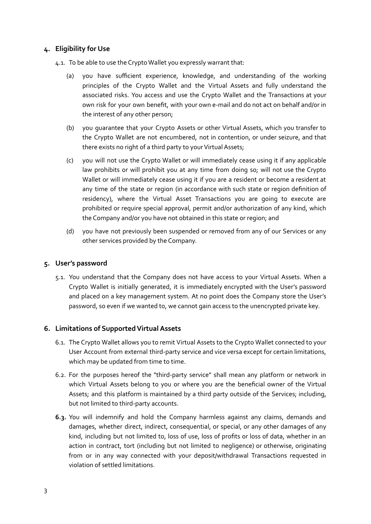## **4. Eligibility for Use**

4.1. To be able to use the Crypto Wallet you expressly warrant that:

- (a) you have sufficient experience, knowledge, and understanding of the working principles of the Crypto Wallet and the Virtual Assets and fully understand the associated risks. You access and use the Crypto Wallet and the Transactions at your own risk for your own benefit, with your own e-mail and do not act on behalf and/or in the interest of any other person;
- (b) you guarantee that your Crypto Assets or other Virtual Assets, which you transfer to the Crypto Wallet are not encumbered, not in contention, or under seizure, and that there exists no right of a third party to your Virtual Assets;
- (c) you will not use the Crypto Wallet or will immediately cease using it if any applicable law prohibits or will prohibit you at any time from doing so; will not use the Crypto Wallet or will immediately cease using it if you are a resident or become a resident at any time of the state or region (in accordance with such state or region definition of residency), where the Virtual Asset Transactions you are going to execute are prohibited or require special approval, permit and/or authorization of any kind, which the Company and/or you have not obtained in this state or region; and
- (d) you have not previously been suspended or removed from any of our Services or any other services provided by the Company.

#### **5. User's password**

5.1. You understand that the Company does not have access to your Virtual Assets. When a Crypto Wallet is initially generated, it is immediately encrypted with the User's password and placed on a key management system. At no point does the Company store the User's password, so even if we wanted to, we cannot gain access to the unencrypted private key.

#### **6. Limitations of Supported Virtual Assets**

- 6.1. The Crypto Wallet allows you to remit Virtual Assets to the Crypto Wallet connected to your User Account from external third-party service and vice versa except for certain limitations, which may be updated from time to time.
- 6.2. For the purposes hereof the "third-party service" shall mean any platform or network in which Virtual Assets belong to you or where you are the beneficial owner of the Virtual Assets; and this platform is maintained by a third party outside of the Services; including, but not limited to third-party accounts.
- **6.3.** You will indemnify and hold the Company harmless against any claims, demands and damages, whether direct, indirect, consequential, or special, or any other damages of any kind, including but not limited to, loss of use, loss of profits or loss of data, whether in an action in contract, tort (including but not limited to negligence) or otherwise, originating from or in any way connected with your deposit/withdrawal Transactions requested in violation of settled limitations.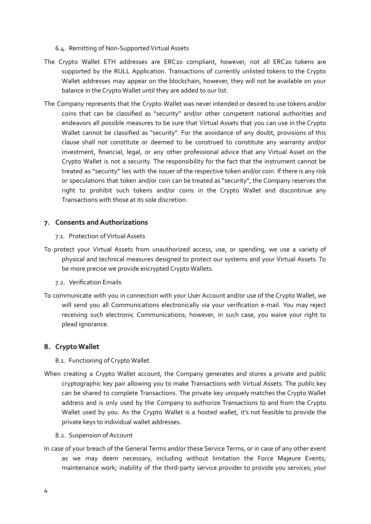- 6.4. Remitting of Non-Supported Virtual Assets
- The Crypto Wallet ETH addresses are ERC20 compliant, however, not all ERC20 tokens are supported by the RULL Application. Transactions of currently unlisted tokens to the Crypto Wallet addresses may appear on the blockchain, however, they will not be available on your balance in the Crypto Wallet until they are added to our list.
- The Company represents that the Crypto Wallet was never intended or desired to use tokens and/or coins that can be classified as "security" and/or other competent national authorities and endeavors all possible measures to be sure that Virtual Assets that you can use in the Crypto Wallet cannot be classified as "security". For the avoidance of any doubt, provisions of this clause shall not constitute or deemed to be construed to constitute any warranty and/or investment, financial, legal, or any other professional advice that any Virtual Asset on the Crypto Wallet is not a security. The responsibility for the fact that the instrument cannot be treated as "security" lies with the issuer of the respective token and/or coin. If there is any risk or speculations that token and/or coin can be treated as "security", the Company reserves the right to prohibit such tokens and/or coins in the Crypto Wallet and discontinue any Transactions with those at its sole discretion.

#### **7. Consents and Authorizations**

#### 7.1. Protection of Virtual Assets

- To protect your Virtual Assets from unauthorized access, use, or spending, we use a variety of physical and technical measures designed to protect our systems and your Virtual Assets. To be more precise we provide encrypted Crypto Wallets.
	- 7.2. Verification Emails
- To communicate with you in connection with your User Account and/or use of the Crypto Wallet, we will send you all Communications electronically via your verification e-mail. You may reject receiving such electronic Communications; however, in such case, you waive your right to plead ignorance.

#### **8. Crypto Wallet**

- 8.1. Functioning of CryptoWallet
- When creating a Crypto Wallet account, the Company generates and stores a private and public cryptographic key pair allowing you to make Transactions with Virtual Assets. The public key can be shared to complete Transactions. The private key uniquely matches the Crypto Wallet address and is only used by the Company to authorize Transactions to and from the Crypto Wallet used by you. As the Crypto Wallet is a hosted wallet, it's not feasible to provide the private keys to individual wallet addresses.
	- 8.2. Suspension of Account
- In case of your breach of the General Terms and/or these Service Terms, or in case of any other event as we may deem necessary, including without limitation the Force Majeure Events; maintenance work; inability of the third-party service provider to provide you services; your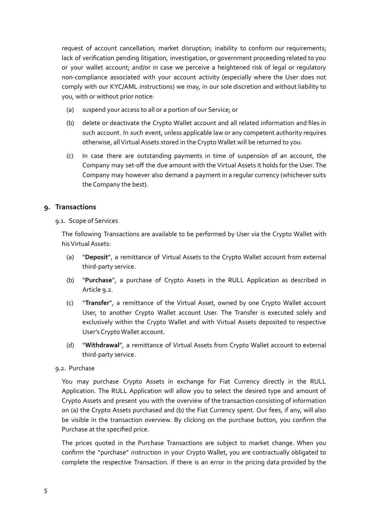request of account cancellation; market disruption; inability to conform our requirements; lack of verification pending litigation, investigation, or government proceeding related to you or your wallet account; and/or in case we perceive a heightened risk of legal or regulatory non-compliance associated with your account activity (especially where the User does not comply with our KYC/AML instructions) we may, in our sole discretion and without liability to you, with or without prior notice:

- (a) suspend your access to all or a portion of our Service; or
- (b) delete or deactivate the Crypto Wallet account and all related information and files in such account. In such event, unless applicable law or any competent authority requires otherwise, all Virtual Assets stored in the Crypto Wallet will be returned to you.
- (c) In case there are outstanding payments in time of suspension of an account, the Company may set-off the due amount with the Virtual Assets it holds for the User. The Company may however also demand a payment in a regular currency (whichever suits the Company the best).

## **9. Transactions**

#### 9.1. Scope of Services

The following Transactions are available to be performed by User via the Crypto Wallet with his Virtual Assets:

- (a) "**Deposit**", a remittance of Virtual Assets to the Crypto Wallet account from external third-party service.
- (b) "**Purchase**", a purchase of Crypto Assets in the RULL Application as described in Article 9.2.
- (c) "**Transfer**", a remittance of the Virtual Asset, owned by one Crypto Wallet account User, to another Crypto Wallet account User. The Transfer is executed solely and exclusively within the Crypto Wallet and with Virtual Assets deposited to respective User's Crypto Wallet account.
- (d) "**Withdrawal**", a remittance of Virtual Assets from Crypto Wallet account to external third-party service.
- 9.2. Purchase

You may purchase Crypto Assets in exchange for Fiat Currency directly in the RULL Application. The RULL Application will allow you to select the desired type and amount of Crypto Assets and present you with the overview of the transaction consisting of information on (a) the Crypto Assets purchased and (b) the Fiat Currency spent. Our fees, if any, will also be visible in the transaction overview. By clicking on the purchase button, you confirm the Purchase at the specified price.

The prices quoted in the Purchase Transactions are subject to market change. When you confirm the "purchase" instruction in your Crypto Wallet, you are contractually obligated to complete the respective Transaction. If there is an error in the pricing data provided by the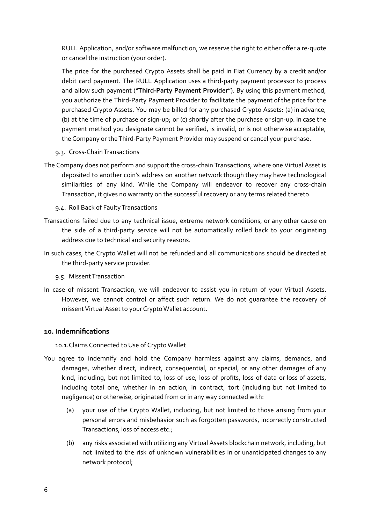RULL Application, and/or software malfunction, we reserve the right to either offer a re-quote or cancel the instruction (your order).

The price for the purchased Crypto Assets shall be paid in Fiat Currency by a credit and/or debit card payment. The RULL Application uses a third-party payment processor to process and allow such payment ("**Third-Party Payment Provider**"). By using this payment method, you authorize the Third-Party Payment Provider to facilitate the payment of the price for the purchased Crypto Assets. You may be billed for any purchased Crypto Assets: (a) in advance, (b) at the time of purchase or sign-up; or (c) shortly after the purchase or sign-up. In case the payment method you designate cannot be verified, is invalid, or is not otherwise acceptable, the Company or theThird-Party Payment Provider may suspend or cancel your purchase.

- 9.3. Cross-ChainTransactions
- The Company does not perform and support the cross-chain Transactions, where one Virtual Asset is deposited to another coin's address on another network though they may have technological similarities of any kind. While the Company will endeavor to recover any cross-chain Transaction, it gives no warranty on the successful recovery or any terms related thereto.
	- 9.4. Roll Back of Faulty Transactions
- Transactions failed due to any technical issue, extreme network conditions, or any other cause on the side of a third-party service will not be automatically rolled back to your originating address due to technical and security reasons.
- In such cases, the Crypto Wallet will not be refunded and all communications should be directed at the third-party service provider.
	- 9.5. Missent Transaction
- In case of missent Transaction, we will endeavor to assist you in return of your Virtual Assets. However, we cannot control or affect such return. We do not guarantee the recovery of missent Virtual Asset to your Crypto Wallet account.

#### **10. Indemnifications**

10.1. Claims Connected to Use of Crypto Wallet

- You agree to indemnify and hold the Company harmless against any claims, demands, and damages, whether direct, indirect, consequential, or special, or any other damages of any kind, including, but not limited to, loss of use, loss of profits, loss of data or loss of assets, including total one, whether in an action, in contract, tort (including but not limited to negligence) or otherwise, originated from or in any way connected with:
	- (a) your use of the Crypto Wallet, including, but not limited to those arising from your personal errors and misbehavior such as forgotten passwords, incorrectly constructed Transactions, loss of access etc.;
	- (b) any risks associated with utilizing any Virtual Assets blockchain network, including, but not limited to the risk of unknown vulnerabilities in or unanticipated changes to any network protocol;